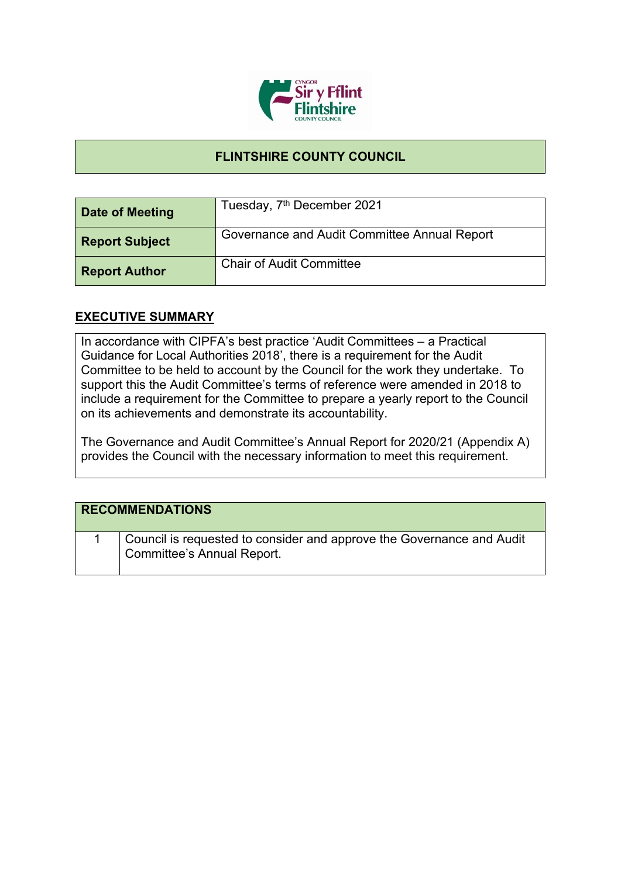

## **FLINTSHIRE COUNTY COUNCIL**

| Date of Meeting       | Tuesday, 7 <sup>th</sup> December 2021       |
|-----------------------|----------------------------------------------|
| <b>Report Subject</b> | Governance and Audit Committee Annual Report |
| <b>Report Author</b>  | <b>Chair of Audit Committee</b>              |

## **EXECUTIVE SUMMARY**

In accordance with CIPFA's best practice 'Audit Committees – a Practical Guidance for Local Authorities 2018', there is a requirement for the Audit Committee to be held to account by the Council for the work they undertake. To support this the Audit Committee's terms of reference were amended in 2018 to include a requirement for the Committee to prepare a yearly report to the Council on its achievements and demonstrate its accountability.

The Governance and Audit Committee's Annual Report for 2020/21 (Appendix A) provides the Council with the necessary information to meet this requirement.

| <b>RECOMMENDATIONS</b>                                                                                     |
|------------------------------------------------------------------------------------------------------------|
| Council is requested to consider and approve the Governance and Audit<br><b>Committee's Annual Report.</b> |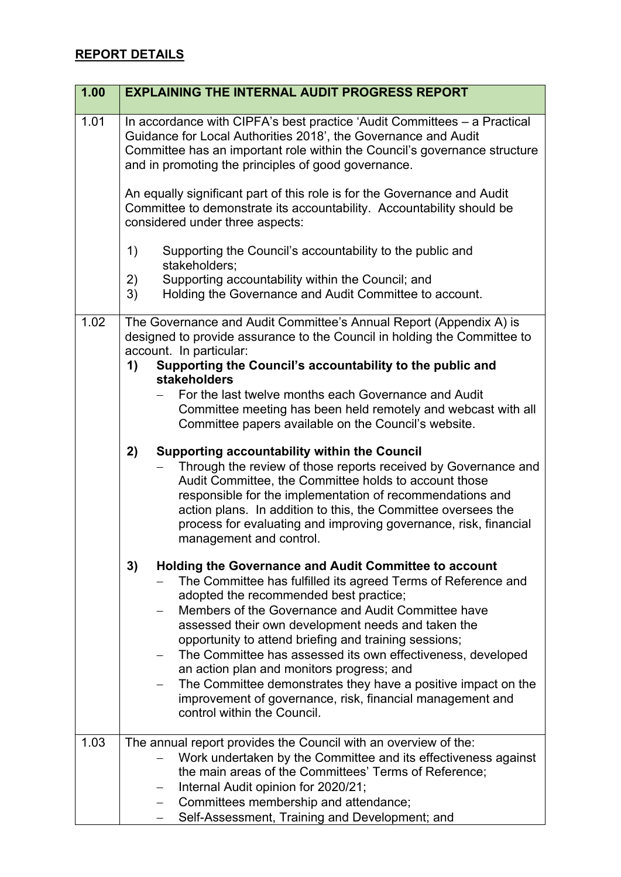## **REPORT DETAILS**

| 1.00 | <b>EXPLAINING THE INTERNAL AUDIT PROGRESS REPORT</b>                                                                                                                                                                                                                                                                                                                                                                                                                                                                                                                                                                        |
|------|-----------------------------------------------------------------------------------------------------------------------------------------------------------------------------------------------------------------------------------------------------------------------------------------------------------------------------------------------------------------------------------------------------------------------------------------------------------------------------------------------------------------------------------------------------------------------------------------------------------------------------|
| 1.01 | In accordance with CIPFA's best practice 'Audit Committees – a Practical<br>Guidance for Local Authorities 2018', the Governance and Audit<br>Committee has an important role within the Council's governance structure<br>and in promoting the principles of good governance.                                                                                                                                                                                                                                                                                                                                              |
|      | An equally significant part of this role is for the Governance and Audit<br>Committee to demonstrate its accountability. Accountability should be<br>considered under three aspects:                                                                                                                                                                                                                                                                                                                                                                                                                                        |
|      | 1)<br>Supporting the Council's accountability to the public and<br>stakeholders;                                                                                                                                                                                                                                                                                                                                                                                                                                                                                                                                            |
|      | 2)<br>Supporting accountability within the Council; and<br>3)<br>Holding the Governance and Audit Committee to account.                                                                                                                                                                                                                                                                                                                                                                                                                                                                                                     |
| 1.02 | The Governance and Audit Committee's Annual Report (Appendix A) is<br>designed to provide assurance to the Council in holding the Committee to<br>account. In particular:<br>Supporting the Council's accountability to the public and<br>1)<br>stakeholders<br>For the last twelve months each Governance and Audit<br>Committee meeting has been held remotely and webcast with all<br>Committee papers available on the Council's website.                                                                                                                                                                               |
|      | 2)<br><b>Supporting accountability within the Council</b><br>Through the review of those reports received by Governance and<br>Audit Committee, the Committee holds to account those<br>responsible for the implementation of recommendations and<br>action plans. In addition to this, the Committee oversees the<br>process for evaluating and improving governance, risk, financial<br>management and control.                                                                                                                                                                                                           |
|      | 3)<br><b>Holding the Governance and Audit Committee to account</b><br>The Committee has fulfilled its agreed Terms of Reference and<br>adopted the recommended best practice;<br>Members of the Governance and Audit Committee have<br>assessed their own development needs and taken the<br>opportunity to attend briefing and training sessions;<br>The Committee has assessed its own effectiveness, developed<br>an action plan and monitors progress; and<br>The Committee demonstrates they have a positive impact on the<br>improvement of governance, risk, financial management and<br>control within the Council. |
| 1.03 | The annual report provides the Council with an overview of the:<br>Work undertaken by the Committee and its effectiveness against<br>the main areas of the Committees' Terms of Reference;<br>Internal Audit opinion for 2020/21;<br>Committees membership and attendance;<br>$\qquad \qquad -$<br>Self-Assessment, Training and Development; and                                                                                                                                                                                                                                                                           |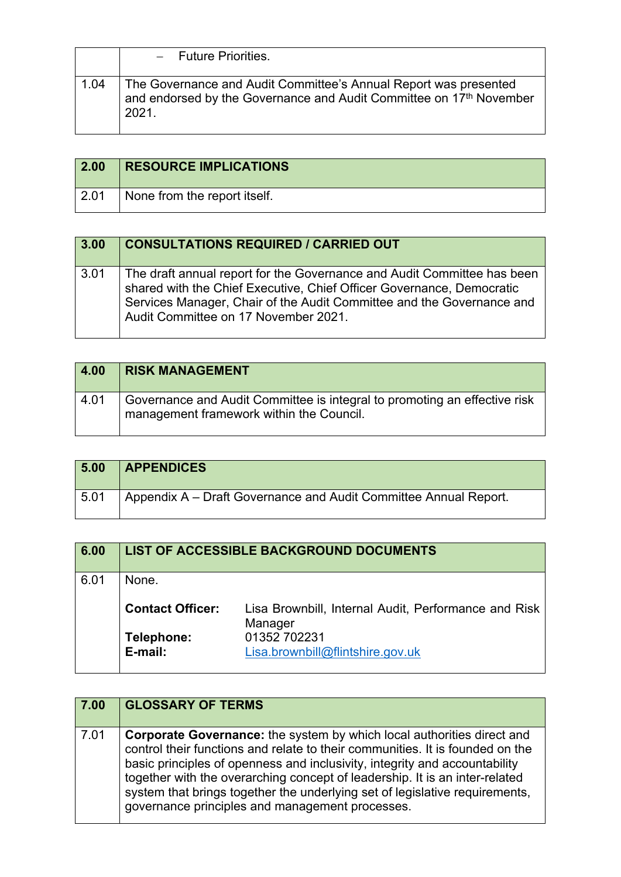|      | - Future Priorities.                                                                                                                             |
|------|--------------------------------------------------------------------------------------------------------------------------------------------------|
| 1.04 | The Governance and Audit Committee's Annual Report was presented<br>and endorsed by the Governance and Audit Committee on 17th November<br>2021. |

| 2.00         | <b>RESOURCE IMPLICATIONS</b> |
|--------------|------------------------------|
| $\vert$ 2.01 | None from the report itself. |

| 3.00 | <b>CONSULTATIONS REQUIRED / CARRIED OUT</b>                                                                                                                                                                                                                       |
|------|-------------------------------------------------------------------------------------------------------------------------------------------------------------------------------------------------------------------------------------------------------------------|
| 3.01 | The draft annual report for the Governance and Audit Committee has been<br>shared with the Chief Executive, Chief Officer Governance, Democratic<br>Services Manager, Chair of the Audit Committee and the Governance and<br>Audit Committee on 17 November 2021. |

| 4.00 | <b>RISK MANAGEMENT</b>                                                                                                |
|------|-----------------------------------------------------------------------------------------------------------------------|
| 4.01 | Governance and Audit Committee is integral to promoting an effective risk<br>management framework within the Council. |

| 5.00 | <b>APPENDICES</b>                                                |
|------|------------------------------------------------------------------|
| 5.01 | Appendix A – Draft Governance and Audit Committee Annual Report. |

| 6.00 |                         | <b>LIST OF ACCESSIBLE BACKGROUND DOCUMENTS</b>                  |
|------|-------------------------|-----------------------------------------------------------------|
| 6.01 | None.                   |                                                                 |
|      | <b>Contact Officer:</b> | Lisa Brownbill, Internal Audit, Performance and Risk<br>Manager |
|      | Telephone:<br>E-mail:   | 01352 702231<br>Lisa.brownbill@flintshire.gov.uk                |
|      |                         |                                                                 |

| 7.00 | <b>GLOSSARY OF TERMS</b>                                                                                                                                                                                                                                                                                                                                                                                                                                      |
|------|---------------------------------------------------------------------------------------------------------------------------------------------------------------------------------------------------------------------------------------------------------------------------------------------------------------------------------------------------------------------------------------------------------------------------------------------------------------|
| 7.01 | <b>Corporate Governance:</b> the system by which local authorities direct and<br>control their functions and relate to their communities. It is founded on the<br>basic principles of openness and inclusivity, integrity and accountability<br>together with the overarching concept of leadership. It is an inter-related<br>system that brings together the underlying set of legislative requirements,<br>governance principles and management processes. |